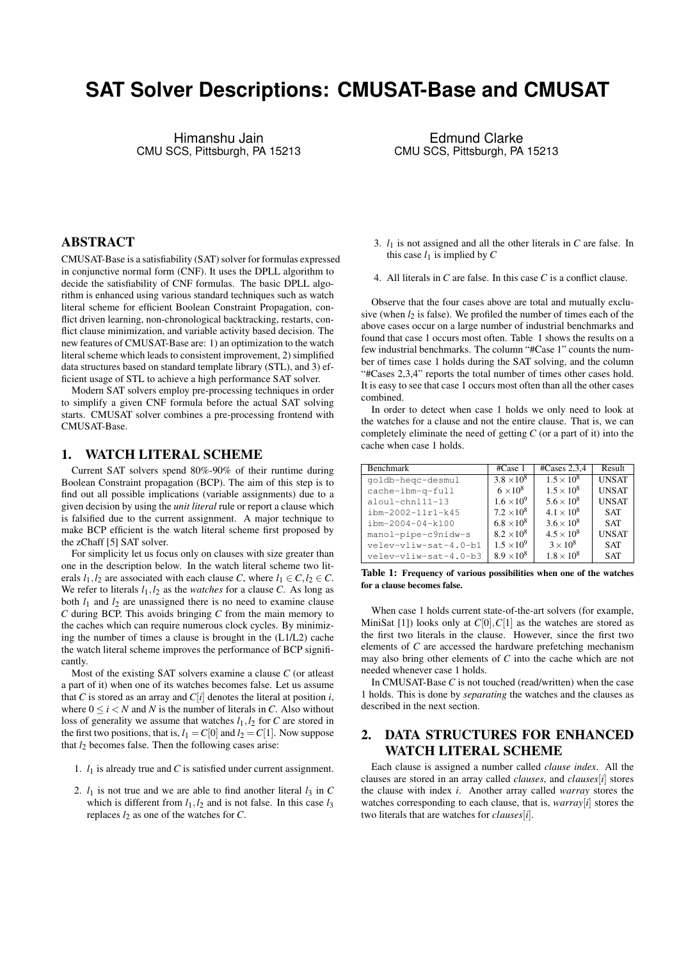# **SAT Solver Descriptions: CMUSAT-Base and CMUSAT**

Himanshu Jain CMU SCS, Pittsburgh, PA 15213

Edmund Clarke CMU SCS, Pittsburgh, PA 15213

### ABSTRACT

CMUSAT-Base is a satisfiability (SAT) solver for formulas expressed in conjunctive normal form (CNF). It uses the DPLL algorithm to decide the satisfiability of CNF formulas. The basic DPLL algorithm is enhanced using various standard techniques such as watch literal scheme for efficient Boolean Constraint Propagation, conflict driven learning, non-chronological backtracking, restarts, conflict clause minimization, and variable activity based decision. The new features of CMUSAT-Base are: 1) an optimization to the watch literal scheme which leads to consistent improvement, 2) simplified data structures based on standard template library (STL), and 3) efficient usage of STL to achieve a high performance SAT solver.

Modern SAT solvers employ pre-processing techniques in order to simplify a given CNF formula before the actual SAT solving starts. CMUSAT solver combines a pre-processing frontend with CMUSAT-Base.

#### 1. WATCH LITERAL SCHEME

Current SAT solvers spend 80%-90% of their runtime during Boolean Constraint propagation (BCP). The aim of this step is to find out all possible implications (variable assignments) due to a given decision by using the *unit literal* rule or report a clause which is falsified due to the current assignment. A major technique to make BCP efficient is the watch literal scheme first proposed by the zChaff [5] SAT solver.

For simplicity let us focus only on clauses with size greater than one in the description below. In the watch literal scheme two literals  $l_1, l_2$  are associated with each clause *C*, where  $l_1 \in C, l_2 \in C$ . We refer to literals  $l_1, l_2$  as the *watches* for a clause *C*. As long as both  $l_1$  and  $l_2$  are unassigned there is no need to examine clause *C* during BCP. This avoids bringing *C* from the main memory to the caches which can require numerous clock cycles. By minimizing the number of times a clause is brought in the (L1/L2) cache the watch literal scheme improves the performance of BCP significantly.

Most of the existing SAT solvers examine a clause *C* (or atleast a part of it) when one of its watches becomes false. Let us assume that *C* is stored as an array and  $C[i]$  denotes the literal at position *i*, where  $0 \le i \le N$  and *N* is the number of literals in *C*. Also without loss of generality we assume that watches  $l_1$ ,  $l_2$  for *C* are stored in the first two positions, that is,  $l_1 = C[0]$  and  $l_2 = C[1]$ . Now suppose that  $l_2$  becomes false. Then the following cases arise:

- 1.  $l_1$  is already true and  $C$  is satisfied under current assignment.
- 2.  $l_1$  is not true and we are able to find another literal  $l_3$  in C which is different from  $l_1$ ,  $l_2$  and is not false. In this case  $l_3$ replaces  $l_2$  as one of the watches for  $C$ .
- 3.  $l_1$  is not assigned and all the other literals in  $C$  are false. In this case  $l_1$  is implied by  $C$
- 4. All literals in *C* are false. In this case *C* is a conflict clause.

Observe that the four cases above are total and mutually exclusive (when  $l_2$  is false). We profiled the number of times each of the above cases occur on a large number of industrial benchmarks and found that case 1 occurs most often. Table 1 shows the results on a few industrial benchmarks. The column "#Case 1" counts the number of times case 1 holds during the SAT solving, and the column "#Cases 2,3,4" reports the total number of times other cases hold. It is easy to see that case 1 occurs most often than all the other cases combined.

In order to detect when case 1 holds we only need to look at the watches for a clause and not the entire clause. That is, we can completely eliminate the need of getting *C* (or a part of it) into the cache when case 1 holds.

| <b>Benchmark</b>      | #Case 1             | #Cases $2,3,4$      | Result       |
|-----------------------|---------------------|---------------------|--------------|
| qoldb-heqc-desmul     | $3.8 \times 10^8$   | $1.5 \times 10^{8}$ | <b>UNSAT</b> |
| cache-ibm-q-full      | $6 \times 10^8$     | $1.5 \times 10^{8}$ | <b>UNSAT</b> |
| aloul-chnl11-13       | $1.6 \times 10^{9}$ | $5.6 \times 10^{8}$ | <b>UNSAT</b> |
| ibm-2002-11r1-k45     | $7.2 \times 10^8$   | $4.1 \times 10^{8}$ | <b>SAT</b>   |
| $ibm-2004-04-k100$    | $6.8 \times 10^8$   | $3.6 \times 10^{8}$ | <b>SAT</b>   |
| manol-pipe-c9nidw-s   | $8.2 \times 10^8$   | $4.5 \times 10^{8}$ | <b>UNSAT</b> |
| velev-vliw-sat-4.0-b1 | $1.5 \times 10^{9}$ | $3 \times 10^8$     | <b>SAT</b>   |
| velev-vliw-sat-4.0-b3 | $8.9 \times 10^8$   | $1.8 \times 10^8$   | <b>SAT</b>   |

Table 1: Frequency of various possibilities when one of the watches for a clause becomes false.

When case 1 holds current state-of-the-art solvers (for example, MiniSat [1]) looks only at  $C[0], C[1]$  as the watches are stored as the first two literals in the clause. However, since the first two elements of *C* are accessed the hardware prefetching mechanism may also bring other elements of *C* into the cache which are not needed whenever case 1 holds.

In CMUSAT-Base *C* is not touched (read/written) when the case 1 holds. This is done by *separating* the watches and the clauses as described in the next section.

### 2. DATA STRUCTURES FOR ENHANCED WATCH LITERAL SCHEME

Each clause is assigned a number called *clause index*. All the clauses are stored in an array called *clauses*, and *clauses*[*i*] stores the clause with index *i*. Another array called *warray* stores the watches corresponding to each clause, that is, *warray*[*i*] stores the two literals that are watches for *clauses*[*i*].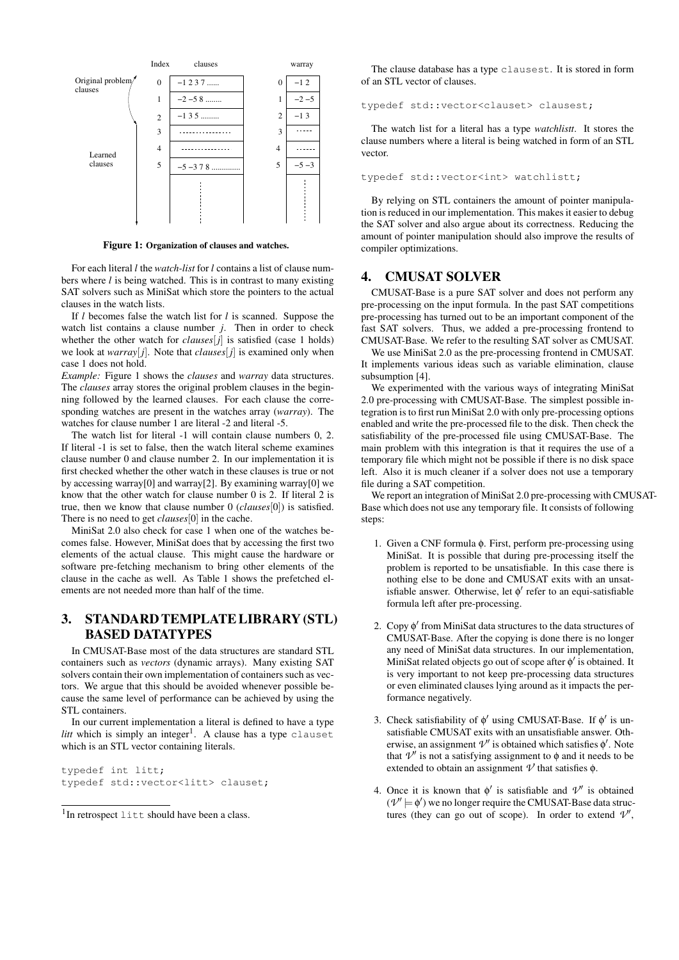

Figure 1: Organization of clauses and watches.

For each literal *l* the *watch-list* for *l* contains a list of clause numbers where *l* is being watched. This is in contrast to many existing SAT solvers such as MiniSat which store the pointers to the actual clauses in the watch lists.

If *l* becomes false the watch list for *l* is scanned. Suppose the watch list contains a clause number *j*. Then in order to check whether the other watch for *clauses* $[j]$  is satisfied (case 1 holds) we look at *warray*[ $j$ ]. Note that *clauses*[ $j$ ] is examined only when case 1 does not hold.

*Example:* Figure 1 shows the *clauses* and *warray* data structures. The *clauses* array stores the original problem clauses in the beginning followed by the learned clauses. For each clause the corresponding watches are present in the watches array (*warray*). The watches for clause number 1 are literal -2 and literal -5.

The watch list for literal -1 will contain clause numbers 0, 2. If literal -1 is set to false, then the watch literal scheme examines clause number 0 and clause number 2. In our implementation it is first checked whether the other watch in these clauses is true or not by accessing warray[0] and warray[2]. By examining warray[0] we know that the other watch for clause number 0 is 2. If literal 2 is true, then we know that clause number 0 (*clauses*[0]) is satisfied. There is no need to get *clauses*[0] in the cache.

MiniSat 2.0 also check for case 1 when one of the watches becomes false. However, MiniSat does that by accessing the first two elements of the actual clause. This might cause the hardware or software pre-fetching mechanism to bring other elements of the clause in the cache as well. As Table 1 shows the prefetched elements are not needed more than half of the time.

## 3. STANDARD TEMPLATE LIBRARY (STL) BASED DATATYPES

In CMUSAT-Base most of the data structures are standard STL containers such as *vectors* (dynamic arrays). Many existing SAT solvers contain their own implementation of containers such as vectors. We argue that this should be avoided whenever possible because the same level of performance can be achieved by using the STL containers.

In our current implementation a literal is defined to have a type  $l$ *itt* which is simply an integer<sup>1</sup>. A clause has a type clauset which is an STL vector containing literals.

typedef int litt; typedef std::vector<litt> clauset;

The clause database has a type clausest. It is stored in form of an STL vector of clauses.

typedef std::vector<clauset> clausest;

The watch list for a literal has a type *watchlistt*. It stores the clause numbers where a literal is being watched in form of an STL vector.

typedef std::vector<int> watchlistt;

By relying on STL containers the amount of pointer manipulation is reduced in our implementation. This makes it easier to debug the SAT solver and also argue about its correctness. Reducing the amount of pointer manipulation should also improve the results of compiler optimizations.

#### 4. CMUSAT SOLVER

CMUSAT-Base is a pure SAT solver and does not perform any pre-processing on the input formula. In the past SAT competitions pre-processing has turned out to be an important component of the fast SAT solvers. Thus, we added a pre-processing frontend to CMUSAT-Base. We refer to the resulting SAT solver as CMUSAT.

We use MiniSat 2.0 as the pre-processing frontend in CMUSAT. It implements various ideas such as variable elimination, clause subsumption [4].

We experimented with the various ways of integrating MiniSat 2.0 pre-processing with CMUSAT-Base. The simplest possible integration is to first run MiniSat 2.0 with only pre-processing options enabled and write the pre-processed file to the disk. Then check the satisfiability of the pre-processed file using CMUSAT-Base. The main problem with this integration is that it requires the use of a temporary file which might not be possible if there is no disk space left. Also it is much cleaner if a solver does not use a temporary file during a SAT competition.

We report an integration of MiniSat 2.0 pre-processing with CMUSAT-Base which does not use any temporary file. It consists of following steps:

- 1. Given a CNF formula φ. First, perform pre-processing using MiniSat. It is possible that during pre-processing itself the problem is reported to be unsatisfiable. In this case there is nothing else to be done and CMUSAT exits with an unsatisfiable answer. Otherwise, let  $\phi'$  refer to an equi-satisfiable formula left after pre-processing.
- 2. Copy φ 0 from MiniSat data structures to the data structures of CMUSAT-Base. After the copying is done there is no longer any need of MiniSat data structures. In our implementation, MiniSat related objects go out of scope after φ' is obtained. It is very important to not keep pre-processing data structures or even eliminated clauses lying around as it impacts the performance negatively.
- 3. Check satisfiability of  $\phi'$  using CMUSAT-Base. If  $\phi'$  is unsatisfiable CMUSAT exits with an unsatisfiable answer. Otherwise, an assignment  $\mathcal{V}'$  is obtained which satisfies  $\phi'$ . Note that  $V'$  is not a satisfying assignment to φ and it needs to be extended to obtain an assignment  $\nu$  that satisfies  $\phi$ .
- 4. Once it is known that  $\phi'$  is satisfiable and  $\mathcal{V}'$  is obtained  $(\mathcal{V}'\models \phi')$  we no longer require the CMUSAT-Base data structures (they can go out of scope). In order to extend  $\mathcal{V}'$ ,

<sup>&</sup>lt;sup>1</sup>In retrospect litt should have been a class.